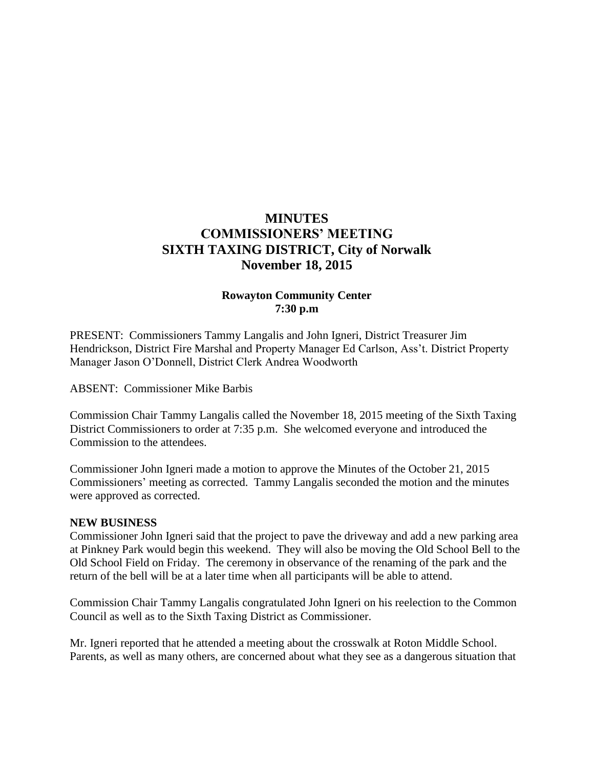# **MINUTES COMMISSIONERS' MEETING SIXTH TAXING DISTRICT, City of Norwalk November 18, 2015**

# **Rowayton Community Center 7:30 p.m**

PRESENT: Commissioners Tammy Langalis and John Igneri, District Treasurer Jim Hendrickson, District Fire Marshal and Property Manager Ed Carlson, Ass't. District Property Manager Jason O'Donnell, District Clerk Andrea Woodworth

ABSENT: Commissioner Mike Barbis

Commission Chair Tammy Langalis called the November 18, 2015 meeting of the Sixth Taxing District Commissioners to order at 7:35 p.m. She welcomed everyone and introduced the Commission to the attendees.

Commissioner John Igneri made a motion to approve the Minutes of the October 21, 2015 Commissioners' meeting as corrected. Tammy Langalis seconded the motion and the minutes were approved as corrected.

#### **NEW BUSINESS**

Commissioner John Igneri said that the project to pave the driveway and add a new parking area at Pinkney Park would begin this weekend. They will also be moving the Old School Bell to the Old School Field on Friday. The ceremony in observance of the renaming of the park and the return of the bell will be at a later time when all participants will be able to attend.

Commission Chair Tammy Langalis congratulated John Igneri on his reelection to the Common Council as well as to the Sixth Taxing District as Commissioner.

Mr. Igneri reported that he attended a meeting about the crosswalk at Roton Middle School. Parents, as well as many others, are concerned about what they see as a dangerous situation that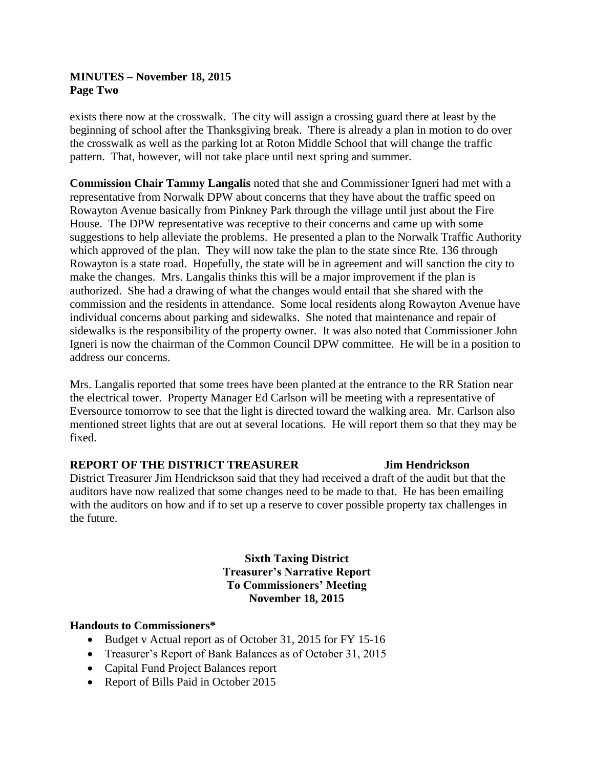# **MINUTES – November 18, 2015 Page Two**

exists there now at the crosswalk. The city will assign a crossing guard there at least by the beginning of school after the Thanksgiving break. There is already a plan in motion to do over the crosswalk as well as the parking lot at Roton Middle School that will change the traffic pattern. That, however, will not take place until next spring and summer.

**Commission Chair Tammy Langalis** noted that she and Commissioner Igneri had met with a representative from Norwalk DPW about concerns that they have about the traffic speed on Rowayton Avenue basically from Pinkney Park through the village until just about the Fire House. The DPW representative was receptive to their concerns and came up with some suggestions to help alleviate the problems. He presented a plan to the Norwalk Traffic Authority which approved of the plan. They will now take the plan to the state since Rte. 136 through Rowayton is a state road. Hopefully, the state will be in agreement and will sanction the city to make the changes. Mrs. Langalis thinks this will be a major improvement if the plan is authorized. She had a drawing of what the changes would entail that she shared with the commission and the residents in attendance. Some local residents along Rowayton Avenue have individual concerns about parking and sidewalks. She noted that maintenance and repair of sidewalks is the responsibility of the property owner. It was also noted that Commissioner John Igneri is now the chairman of the Common Council DPW committee. He will be in a position to address our concerns.

Mrs. Langalis reported that some trees have been planted at the entrance to the RR Station near the electrical tower. Property Manager Ed Carlson will be meeting with a representative of Eversource tomorrow to see that the light is directed toward the walking area. Mr. Carlson also mentioned street lights that are out at several locations. He will report them so that they may be fixed.

# **REPORT OF THE DISTRICT TREASURER Jim Hendrickson**

District Treasurer Jim Hendrickson said that they had received a draft of the audit but that the auditors have now realized that some changes need to be made to that. He has been emailing with the auditors on how and if to set up a reserve to cover possible property tax challenges in the future.

> **Sixth Taxing District Treasurer's Narrative Report To Commissioners' Meeting November 18, 2015**

#### **Handouts to Commissioners\***

- Budget v Actual report as of October 31, 2015 for FY 15-16
- Treasurer's Report of Bank Balances as of October 31, 2015
- Capital Fund Project Balances report
- Report of Bills Paid in October 2015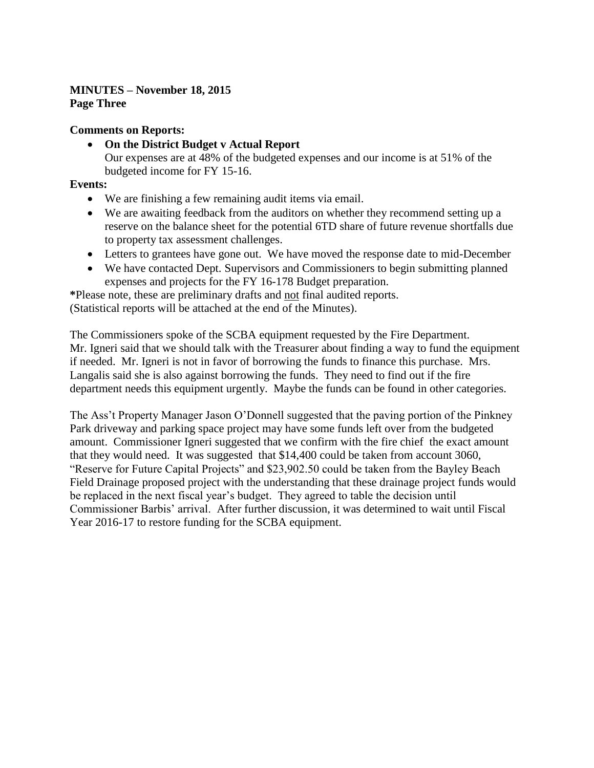# **MINUTES – November 18, 2015 Page Three**

# **Comments on Reports:**

 **On the District Budget v Actual Report** Our expenses are at 48% of the budgeted expenses and our income is at 51% of the budgeted income for FY 15-16.

# **Events:**

- We are finishing a few remaining audit items via email.
- We are awaiting feedback from the auditors on whether they recommend setting up a reserve on the balance sheet for the potential 6TD share of future revenue shortfalls due to property tax assessment challenges.
- Letters to grantees have gone out. We have moved the response date to mid-December
- We have contacted Dept. Supervisors and Commissioners to begin submitting planned expenses and projects for the FY 16-178 Budget preparation.

**\***Please note, these are preliminary drafts and not final audited reports.

(Statistical reports will be attached at the end of the Minutes).

The Commissioners spoke of the SCBA equipment requested by the Fire Department. Mr. Igneri said that we should talk with the Treasurer about finding a way to fund the equipment if needed. Mr. Igneri is not in favor of borrowing the funds to finance this purchase. Mrs. Langalis said she is also against borrowing the funds. They need to find out if the fire department needs this equipment urgently. Maybe the funds can be found in other categories.

The Ass't Property Manager Jason O'Donnell suggested that the paving portion of the Pinkney Park driveway and parking space project may have some funds left over from the budgeted amount. Commissioner Igneri suggested that we confirm with the fire chief the exact amount that they would need. It was suggested that \$14,400 could be taken from account 3060, "Reserve for Future Capital Projects" and \$23,902.50 could be taken from the Bayley Beach Field Drainage proposed project with the understanding that these drainage project funds would be replaced in the next fiscal year's budget. They agreed to table the decision until Commissioner Barbis' arrival. After further discussion, it was determined to wait until Fiscal Year 2016-17 to restore funding for the SCBA equipment.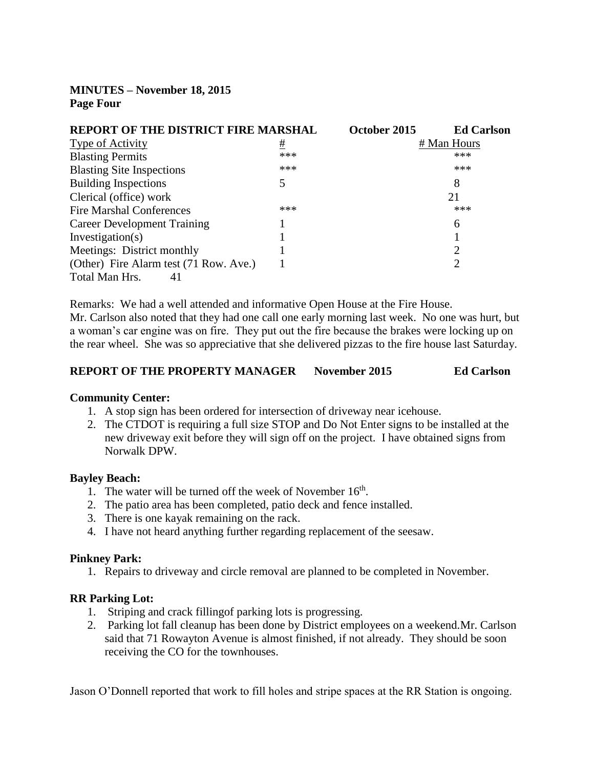**MINUTES – November 18, 2015 Page Four**

| <b>REPORT OF THE DISTRICT FIRE MARSHAL</b> |     | October 2015 | <b>Ed Carlson</b> |
|--------------------------------------------|-----|--------------|-------------------|
| <b>Type of Activity</b>                    | #   |              | # Man Hours       |
| <b>Blasting Permits</b>                    | *** |              | ***               |
| <b>Blasting Site Inspections</b>           | *** |              | ***               |
| <b>Building Inspections</b>                | 5   |              | 8                 |
| Clerical (office) work                     |     |              | 21                |
| <b>Fire Marshal Conferences</b>            | *** |              | ***               |
| <b>Career Development Training</b>         |     |              | 6                 |
| Investigation(s)                           |     |              |                   |
| Meetings: District monthly                 |     |              | ∍                 |
| (Other) Fire Alarm test (71 Row. Ave.)     |     |              |                   |
| Total Man Hrs.<br>41                       |     |              |                   |

Remarks: We had a well attended and informative Open House at the Fire House. Mr. Carlson also noted that they had one call one early morning last week. No one was hurt, but a woman's car engine was on fire. They put out the fire because the brakes were locking up on the rear wheel. She was so appreciative that she delivered pizzas to the fire house last Saturday.

| <b>REPORT OF THE PROPERTY MANAGER</b> | November 2015 | <b>Ed Carlson</b> |
|---------------------------------------|---------------|-------------------|
|---------------------------------------|---------------|-------------------|

#### **Community Center:**

- 1. A stop sign has been ordered for intersection of driveway near icehouse.
- 2. The CTDOT is requiring a full size STOP and Do Not Enter signs to be installed at the new driveway exit before they will sign off on the project. I have obtained signs from Norwalk DPW.

#### **Bayley Beach:**

- 1. The water will be turned off the week of November  $16<sup>th</sup>$ .
- 2. The patio area has been completed, patio deck and fence installed.
- 3. There is one kayak remaining on the rack.
- 4. I have not heard anything further regarding replacement of the seesaw.

#### **Pinkney Park:**

1. Repairs to driveway and circle removal are planned to be completed in November.

#### **RR Parking Lot:**

- 1. Striping and crack fillingof parking lots is progressing.
- 2. Parking lot fall cleanup has been done by District employees on a weekend.Mr. Carlson said that 71 Rowayton Avenue is almost finished, if not already. They should be soon receiving the CO for the townhouses.

Jason O'Donnell reported that work to fill holes and stripe spaces at the RR Station is ongoing.